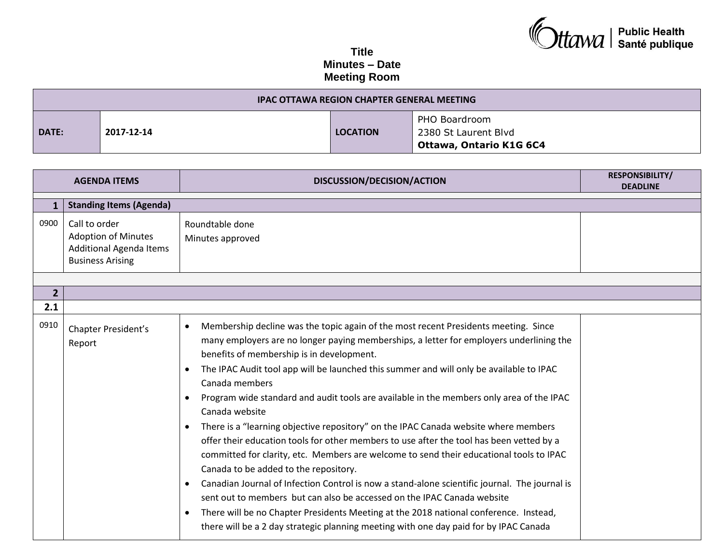## **Ctawa** | Public Health

## **Title Minutes – Date Meeting Room**

| IPAC OTTAWA REGION CHAPTER GENERAL MEETING |            |                 |                                                                               |
|--------------------------------------------|------------|-----------------|-------------------------------------------------------------------------------|
| DATE:                                      | 2017-12-14 | <b>LOCATION</b> | PHO Boardroom<br>2380 St Laurent Blvd<br><sup>'</sup> Ottawa, Ontario K1G 6C4 |

| <b>AGENDA ITEMS</b> |                                                                                                   | DISCUSSION/DECISION/ACTION                                                                                                                                                                                                                                                                                                                                                                                                                                                                                                                                                                                                                                                                                                                                                                                                                                                                                                                                                                                                                                                                                                                                                              | <b>RESPONSIBILITY/</b><br><b>DEADLINE</b> |
|---------------------|---------------------------------------------------------------------------------------------------|-----------------------------------------------------------------------------------------------------------------------------------------------------------------------------------------------------------------------------------------------------------------------------------------------------------------------------------------------------------------------------------------------------------------------------------------------------------------------------------------------------------------------------------------------------------------------------------------------------------------------------------------------------------------------------------------------------------------------------------------------------------------------------------------------------------------------------------------------------------------------------------------------------------------------------------------------------------------------------------------------------------------------------------------------------------------------------------------------------------------------------------------------------------------------------------------|-------------------------------------------|
|                     |                                                                                                   |                                                                                                                                                                                                                                                                                                                                                                                                                                                                                                                                                                                                                                                                                                                                                                                                                                                                                                                                                                                                                                                                                                                                                                                         |                                           |
| 0900                | Call to order<br><b>Adoption of Minutes</b><br>Additional Agenda Items<br><b>Business Arising</b> | Roundtable done<br>Minutes approved                                                                                                                                                                                                                                                                                                                                                                                                                                                                                                                                                                                                                                                                                                                                                                                                                                                                                                                                                                                                                                                                                                                                                     |                                           |
| $\overline{2}$      |                                                                                                   |                                                                                                                                                                                                                                                                                                                                                                                                                                                                                                                                                                                                                                                                                                                                                                                                                                                                                                                                                                                                                                                                                                                                                                                         |                                           |
| 2.1                 |                                                                                                   |                                                                                                                                                                                                                                                                                                                                                                                                                                                                                                                                                                                                                                                                                                                                                                                                                                                                                                                                                                                                                                                                                                                                                                                         |                                           |
| 0910                | Chapter President's<br>Report                                                                     | Membership decline was the topic again of the most recent Presidents meeting. Since<br>$\bullet$<br>many employers are no longer paying memberships, a letter for employers underlining the<br>benefits of membership is in development.<br>The IPAC Audit tool app will be launched this summer and will only be available to IPAC<br>Canada members<br>Program wide standard and audit tools are available in the members only area of the IPAC<br>$\bullet$<br>Canada website<br>There is a "learning objective repository" on the IPAC Canada website where members<br>٠<br>offer their education tools for other members to use after the tool has been vetted by a<br>committed for clarity, etc. Members are welcome to send their educational tools to IPAC<br>Canada to be added to the repository.<br>Canadian Journal of Infection Control is now a stand-alone scientific journal. The journal is<br>sent out to members but can also be accessed on the IPAC Canada website<br>There will be no Chapter Presidents Meeting at the 2018 national conference. Instead,<br>$\bullet$<br>there will be a 2 day strategic planning meeting with one day paid for by IPAC Canada |                                           |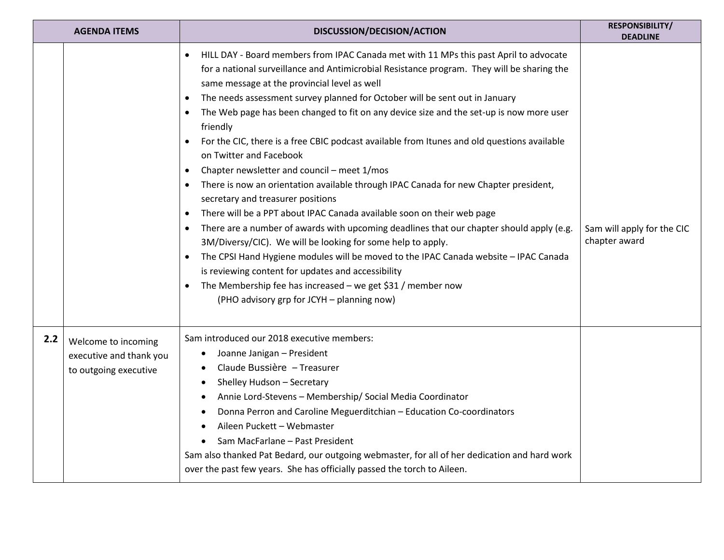| <b>AGENDA ITEMS</b> |                                                                         | DISCUSSION/DECISION/ACTION                                                                                                                                                                                                                                                                                                                                                                                                                                                                                                                                                                                                                                                                                                                                                                                                                                                                                                                                                                                                                                                                                                                                                                                                                                                                                                                                          | RESPONSIBILITY/<br><b>DEADLINE</b>          |
|---------------------|-------------------------------------------------------------------------|---------------------------------------------------------------------------------------------------------------------------------------------------------------------------------------------------------------------------------------------------------------------------------------------------------------------------------------------------------------------------------------------------------------------------------------------------------------------------------------------------------------------------------------------------------------------------------------------------------------------------------------------------------------------------------------------------------------------------------------------------------------------------------------------------------------------------------------------------------------------------------------------------------------------------------------------------------------------------------------------------------------------------------------------------------------------------------------------------------------------------------------------------------------------------------------------------------------------------------------------------------------------------------------------------------------------------------------------------------------------|---------------------------------------------|
|                     |                                                                         | HILL DAY - Board members from IPAC Canada met with 11 MPs this past April to advocate<br>$\bullet$<br>for a national surveillance and Antimicrobial Resistance program. They will be sharing the<br>same message at the provincial level as well<br>The needs assessment survey planned for October will be sent out in January<br>$\bullet$<br>The Web page has been changed to fit on any device size and the set-up is now more user<br>$\bullet$<br>friendly<br>For the CIC, there is a free CBIC podcast available from Itunes and old questions available<br>$\bullet$<br>on Twitter and Facebook<br>Chapter newsletter and council - meet 1/mos<br>$\bullet$<br>There is now an orientation available through IPAC Canada for new Chapter president,<br>$\bullet$<br>secretary and treasurer positions<br>There will be a PPT about IPAC Canada available soon on their web page<br>$\bullet$<br>There are a number of awards with upcoming deadlines that our chapter should apply (e.g.<br>$\bullet$<br>3M/Diversy/CIC). We will be looking for some help to apply.<br>The CPSI Hand Hygiene modules will be moved to the IPAC Canada website - IPAC Canada<br>$\bullet$<br>is reviewing content for updates and accessibility<br>The Membership fee has increased $-$ we get \$31 / member now<br>$\bullet$<br>(PHO advisory grp for JCYH - planning now) | Sam will apply for the CIC<br>chapter award |
| 2.2                 | Welcome to incoming<br>executive and thank you<br>to outgoing executive | Sam introduced our 2018 executive members:<br>Joanne Janigan - President<br>Claude Bussière - Treasurer<br>Shelley Hudson - Secretary<br>$\bullet$<br>Annie Lord-Stevens - Membership/ Social Media Coordinator<br>Donna Perron and Caroline Meguerditchian - Education Co-coordinators<br>Aileen Puckett - Webmaster<br>Sam MacFarlane - Past President<br>Sam also thanked Pat Bedard, our outgoing webmaster, for all of her dedication and hard work<br>over the past few years. She has officially passed the torch to Aileen.                                                                                                                                                                                                                                                                                                                                                                                                                                                                                                                                                                                                                                                                                                                                                                                                                                 |                                             |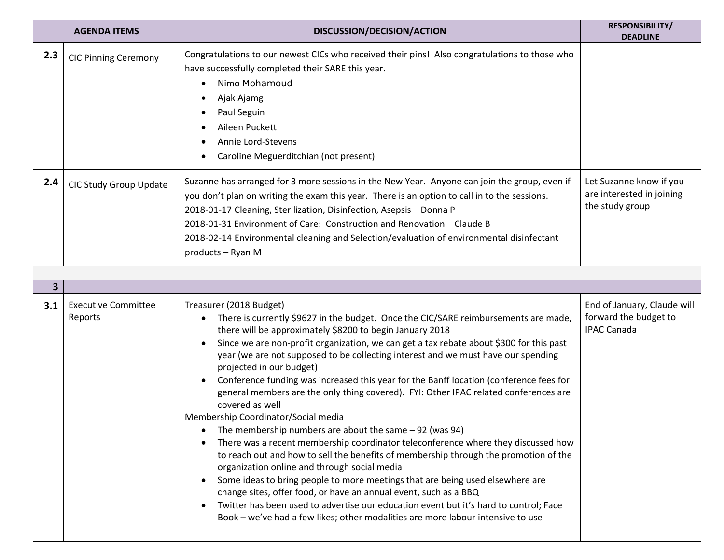| <b>AGENDA ITEMS</b> |                                       | DISCUSSION/DECISION/ACTION                                                                                                                                                                                                                                                                                                                                                                                                                                                                                                                                                                                                                                                                                                                                                                                                                                                                                                                                                                                                                                                                                                                                                                                                                                                | RESPONSIBILITY/<br><b>DEADLINE</b>                                         |
|---------------------|---------------------------------------|---------------------------------------------------------------------------------------------------------------------------------------------------------------------------------------------------------------------------------------------------------------------------------------------------------------------------------------------------------------------------------------------------------------------------------------------------------------------------------------------------------------------------------------------------------------------------------------------------------------------------------------------------------------------------------------------------------------------------------------------------------------------------------------------------------------------------------------------------------------------------------------------------------------------------------------------------------------------------------------------------------------------------------------------------------------------------------------------------------------------------------------------------------------------------------------------------------------------------------------------------------------------------|----------------------------------------------------------------------------|
| 2.3                 | <b>CIC Pinning Ceremony</b>           | Congratulations to our newest CICs who received their pins! Also congratulations to those who<br>have successfully completed their SARE this year.<br>Nimo Mohamoud<br>Ajak Ajamg<br>Paul Seguin<br>Aileen Puckett<br>Annie Lord-Stevens<br>Caroline Meguerditchian (not present)                                                                                                                                                                                                                                                                                                                                                                                                                                                                                                                                                                                                                                                                                                                                                                                                                                                                                                                                                                                         |                                                                            |
| 2.4                 | CIC Study Group Update                | Suzanne has arranged for 3 more sessions in the New Year. Anyone can join the group, even if<br>you don't plan on writing the exam this year. There is an option to call in to the sessions.<br>2018-01-17 Cleaning, Sterilization, Disinfection, Asepsis - Donna P<br>2018-01-31 Environment of Care: Construction and Renovation - Claude B<br>2018-02-14 Environmental cleaning and Selection/evaluation of environmental disinfectant<br>products - Ryan M                                                                                                                                                                                                                                                                                                                                                                                                                                                                                                                                                                                                                                                                                                                                                                                                            | Let Suzanne know if you<br>are interested in joining<br>the study group    |
| 3                   |                                       |                                                                                                                                                                                                                                                                                                                                                                                                                                                                                                                                                                                                                                                                                                                                                                                                                                                                                                                                                                                                                                                                                                                                                                                                                                                                           |                                                                            |
| 3.1                 | <b>Executive Committee</b><br>Reports | Treasurer (2018 Budget)<br>There is currently \$9627 in the budget. Once the CIC/SARE reimbursements are made,<br>there will be approximately \$8200 to begin January 2018<br>Since we are non-profit organization, we can get a tax rebate about \$300 for this past<br>year (we are not supposed to be collecting interest and we must have our spending<br>projected in our budget)<br>Conference funding was increased this year for the Banff location (conference fees for<br>general members are the only thing covered). FYI: Other IPAC related conferences are<br>covered as well<br>Membership Coordinator/Social media<br>The membership numbers are about the same $-92$ (was 94)<br>There was a recent membership coordinator teleconference where they discussed how<br>to reach out and how to sell the benefits of membership through the promotion of the<br>organization online and through social media<br>Some ideas to bring people to more meetings that are being used elsewhere are<br>change sites, offer food, or have an annual event, such as a BBQ<br>Twitter has been used to advertise our education event but it's hard to control; Face<br>$\bullet$<br>Book - we've had a few likes; other modalities are more labour intensive to use | End of January, Claude will<br>forward the budget to<br><b>IPAC Canada</b> |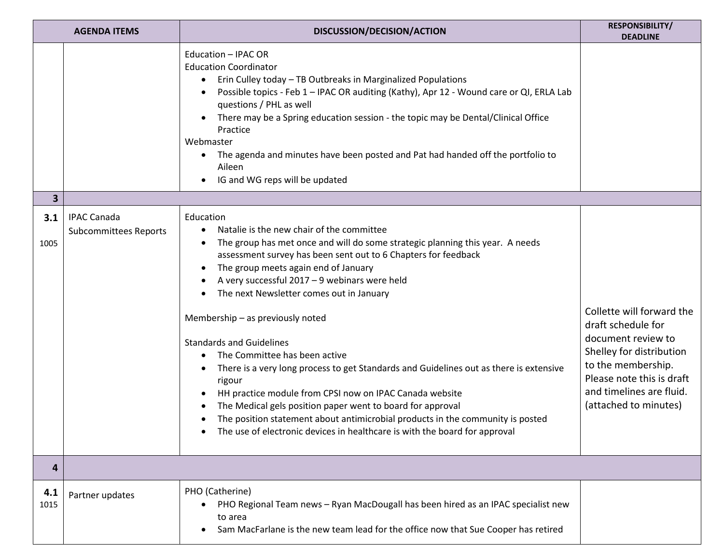| <b>AGENDA ITEMS</b> |                                                    | DISCUSSION/DECISION/ACTION                                                                                                                                                                                                                                                                                                                                                                                                                                                                                                                                                                                                                                                                                                                                                                                                                          | <b>RESPONSIBILITY/</b><br><b>DEADLINE</b>                                                                                                                                                                 |
|---------------------|----------------------------------------------------|-----------------------------------------------------------------------------------------------------------------------------------------------------------------------------------------------------------------------------------------------------------------------------------------------------------------------------------------------------------------------------------------------------------------------------------------------------------------------------------------------------------------------------------------------------------------------------------------------------------------------------------------------------------------------------------------------------------------------------------------------------------------------------------------------------------------------------------------------------|-----------------------------------------------------------------------------------------------------------------------------------------------------------------------------------------------------------|
|                     |                                                    | Education - IPAC OR<br><b>Education Coordinator</b><br>Erin Culley today - TB Outbreaks in Marginalized Populations<br>Possible topics - Feb 1 - IPAC OR auditing (Kathy), Apr 12 - Wound care or QI, ERLA Lab<br>questions / PHL as well<br>There may be a Spring education session - the topic may be Dental/Clinical Office<br>Practice<br>Webmaster<br>The agenda and minutes have been posted and Pat had handed off the portfolio to<br>Aileen<br>IG and WG reps will be updated                                                                                                                                                                                                                                                                                                                                                              |                                                                                                                                                                                                           |
| 3                   |                                                    |                                                                                                                                                                                                                                                                                                                                                                                                                                                                                                                                                                                                                                                                                                                                                                                                                                                     |                                                                                                                                                                                                           |
| 3.1<br>1005         | <b>IPAC Canada</b><br><b>Subcommittees Reports</b> | Education<br>Natalie is the new chair of the committee<br>The group has met once and will do some strategic planning this year. A needs<br>assessment survey has been sent out to 6 Chapters for feedback<br>The group meets again end of January<br>A very successful 2017 - 9 webinars were held<br>The next Newsletter comes out in January<br>Membership - as previously noted<br><b>Standards and Guidelines</b><br>The Committee has been active<br>There is a very long process to get Standards and Guidelines out as there is extensive<br>rigour<br>HH practice module from CPSI now on IPAC Canada website<br>The Medical gels position paper went to board for approval<br>The position statement about antimicrobial products in the community is posted<br>The use of electronic devices in healthcare is with the board for approval | Collette will forward the<br>draft schedule for<br>document review to<br>Shelley for distribution<br>to the membership.<br>Please note this is draft<br>and timelines are fluid.<br>(attached to minutes) |
| 4                   |                                                    |                                                                                                                                                                                                                                                                                                                                                                                                                                                                                                                                                                                                                                                                                                                                                                                                                                                     |                                                                                                                                                                                                           |
| 4.1<br>1015         | Partner updates                                    | PHO (Catherine)<br>PHO Regional Team news - Ryan MacDougall has been hired as an IPAC specialist new<br>to area<br>Sam MacFarlane is the new team lead for the office now that Sue Cooper has retired                                                                                                                                                                                                                                                                                                                                                                                                                                                                                                                                                                                                                                               |                                                                                                                                                                                                           |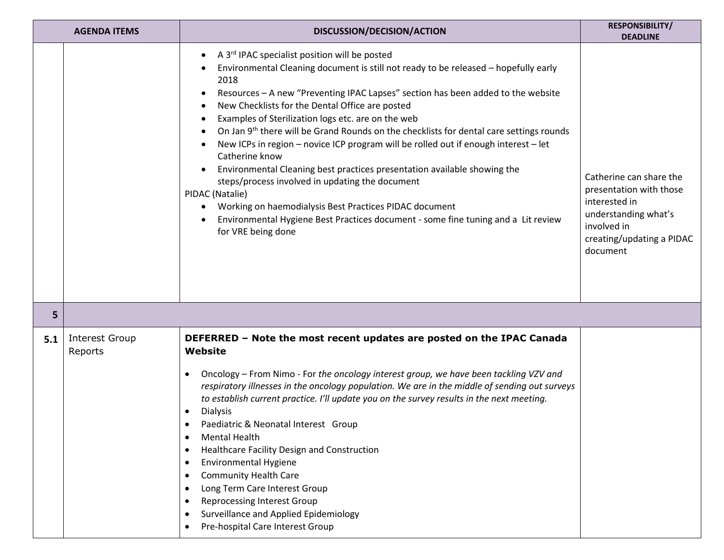| <b>AGENDA ITEMS</b> |                                  | DISCUSSION/DECISION/ACTION                                                                                                                                                                                                                                                                                                                                                                                                                                                                                                                                                                                                                                                                                                                                                                                                                                                                   | <b>RESPONSIBILITY/</b><br><b>DEADLINE</b>                                                                                                           |
|---------------------|----------------------------------|----------------------------------------------------------------------------------------------------------------------------------------------------------------------------------------------------------------------------------------------------------------------------------------------------------------------------------------------------------------------------------------------------------------------------------------------------------------------------------------------------------------------------------------------------------------------------------------------------------------------------------------------------------------------------------------------------------------------------------------------------------------------------------------------------------------------------------------------------------------------------------------------|-----------------------------------------------------------------------------------------------------------------------------------------------------|
|                     |                                  | A 3 <sup>rd</sup> IPAC specialist position will be posted<br>Environmental Cleaning document is still not ready to be released - hopefully early<br>2018<br>Resources - A new "Preventing IPAC Lapses" section has been added to the website<br>New Checklists for the Dental Office are posted<br>Examples of Sterilization logs etc. are on the web<br>On Jan 9 <sup>th</sup> there will be Grand Rounds on the checklists for dental care settings rounds<br>New ICPs in region - novice ICP program will be rolled out if enough interest - let<br>Catherine know<br>Environmental Cleaning best practices presentation available showing the<br>steps/process involved in updating the document<br>PIDAC (Natalie)<br>Working on haemodialysis Best Practices PIDAC document<br>Environmental Hygiene Best Practices document - some fine tuning and a Lit review<br>for VRE being done | Catherine can share the<br>presentation with those<br>interested in<br>understanding what's<br>involved in<br>creating/updating a PIDAC<br>document |
| 5                   |                                  |                                                                                                                                                                                                                                                                                                                                                                                                                                                                                                                                                                                                                                                                                                                                                                                                                                                                                              |                                                                                                                                                     |
| 5.1                 | <b>Interest Group</b><br>Reports | DEFERRED - Note the most recent updates are posted on the IPAC Canada<br>Website<br>Oncology - From Nimo - For the oncology interest group, we have been tackling VZV and<br>respiratory illnesses in the oncology population. We are in the middle of sending out surveys<br>to establish current practice. I'll update you on the survey results in the next meeting.<br><b>Dialysis</b><br>٠<br>Paediatric & Neonatal Interest Group<br><b>Mental Health</b><br>٠<br>Healthcare Facility Design and Construction<br>٠<br><b>Environmental Hygiene</b><br>٠<br><b>Community Health Care</b><br>٠<br>Long Term Care Interest Group<br>٠<br><b>Reprocessing Interest Group</b><br>٠<br>Surveillance and Applied Epidemiology<br>٠<br>Pre-hospital Care Interest Group<br>٠                                                                                                                   |                                                                                                                                                     |